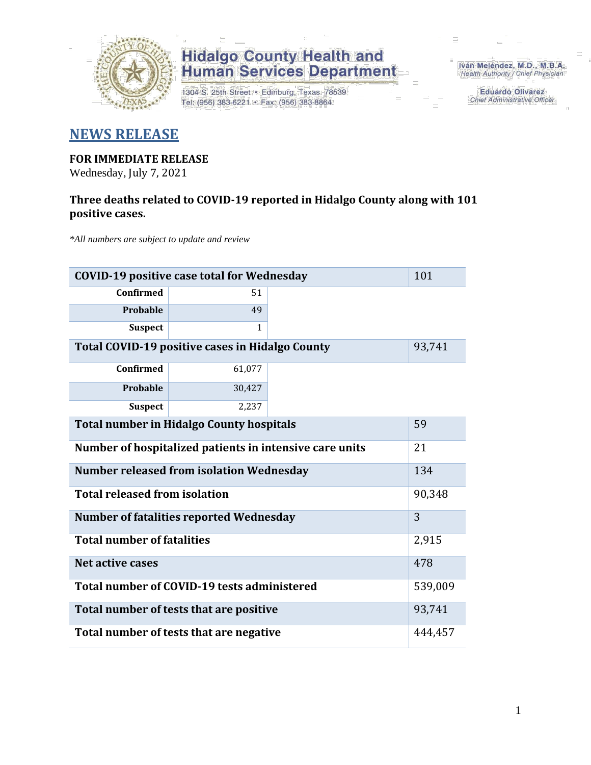

## **Hidalgo County Health and<br>Human Services Department**

1304 S. 25th Street · Edinburg, Texas 78539 Tel: (956) 383-6221 · Fax: (956) 383-8864

Iván Meléndez, M.D., M.B.A. Health Authority / Chief Physician

> **Eduardo Olivarez** Chief Administrative Officer

### **NEWS RELEASE**

### **FOR IMMEDIATE RELEASE**

Wednesday, July 7, 2021

#### **Three deaths related to COVID-19 reported in Hidalgo County along with 101 positive cases.**

*\*All numbers are subject to update and review*

| 101<br><b>COVID-19 positive case total for Wednesday</b> |              |  |  |  |  |
|----------------------------------------------------------|--------------|--|--|--|--|
| <b>Confirmed</b>                                         | 51           |  |  |  |  |
| Probable                                                 | 49           |  |  |  |  |
| <b>Suspect</b>                                           | $\mathbf{1}$ |  |  |  |  |
| Total COVID-19 positive cases in Hidalgo County          | 93,741       |  |  |  |  |
| <b>Confirmed</b>                                         | 61,077       |  |  |  |  |
| Probable                                                 | 30,427       |  |  |  |  |
| <b>Suspect</b>                                           | 2,237        |  |  |  |  |
| <b>Total number in Hidalgo County hospitals</b>          |              |  |  |  |  |
| Number of hospitalized patients in intensive care units  | 21           |  |  |  |  |
| <b>Number released from isolation Wednesday</b><br>134   |              |  |  |  |  |
| <b>Total released from isolation</b>                     | 90,348       |  |  |  |  |
| <b>Number of fatalities reported Wednesday</b>           |              |  |  |  |  |
| <b>Total number of fatalities</b>                        |              |  |  |  |  |
| Net active cases                                         | 478          |  |  |  |  |
| Total number of COVID-19 tests administered              |              |  |  |  |  |
| Total number of tests that are positive                  |              |  |  |  |  |
| Total number of tests that are negative                  |              |  |  |  |  |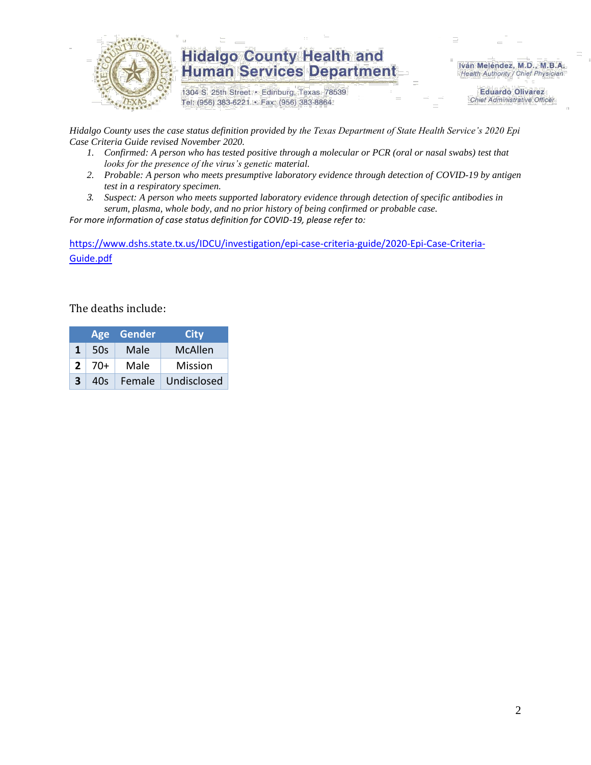

### **Hidalgo County Health and Human Services Department**

1304 S. 25th Street · Edinburg, Texas 78539 Tel: (956) 383-6221 · Fax: (956) 383-8864

Iván Meléndez, M.D., M.B.A. Health Authority / Chief Physician

> **Eduardo Olivarez Chief Administrative Officer**

*Hidalgo County uses the case status definition provided by the Texas Department of State Health Service's 2020 Epi Case Criteria Guide revised November 2020.*

- *1. Confirmed: A person who has tested positive through a molecular or PCR (oral or nasal swabs) test that looks for the presence of the virus's genetic material.*
- *2. Probable: A person who meets presumptive laboratory evidence through detection of COVID-19 by antigen test in a respiratory specimen.*
- *3. Suspect: A person who meets supported laboratory evidence through detection of specific antibodies in serum, plasma, whole body, and no prior history of being confirmed or probable case.*

*For more information of case status definition for COVID-19, please refer to:*

[https://www.dshs.state.tx.us/IDCU/investigation/epi-case-criteria-guide/2020-Epi-Case-Criteria-](https://www.dshs.state.tx.us/IDCU/investigation/epi-case-criteria-guide/2020-Epi-Case-Criteria-Guide.pdf)[Guide.pdf](https://www.dshs.state.tx.us/IDCU/investigation/epi-case-criteria-guide/2020-Epi-Case-Criteria-Guide.pdf)

The deaths include:

|   |       | Age Gender | City           |
|---|-------|------------|----------------|
| 1 | 50s   | Male       | McAllen        |
| 2 | $70+$ | Male       | <b>Mission</b> |
| 3 | 40s   | Female     | Undisclosed    |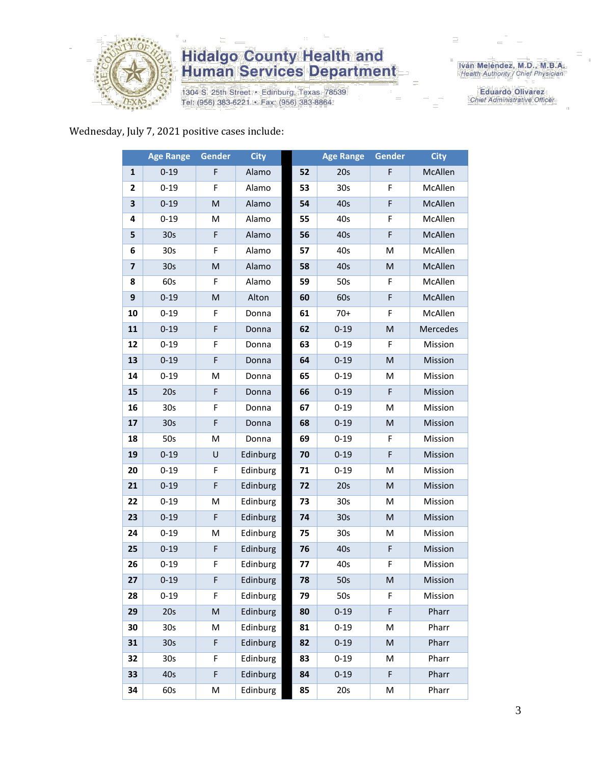

## **Hidalgo County Health and<br>Human Services Department**

1304 S. 25th Street • Edinburg, Texas 78539<br>Tel: (956) 383-6221 • Fax: (956) 383-8864

Iván Meléndez, M.D., M.B.A.<br>Health Authority / Chief Physician

**Eduardo Olivarez** Chief Administrative Officer

#### Wednesday, July 7, 2021 positive cases include:

|                         | <b>Age Range</b> | <b>Gender</b> | <b>City</b> |    | <b>Age Range</b> | Gender                                                                                                     | <b>City</b> |
|-------------------------|------------------|---------------|-------------|----|------------------|------------------------------------------------------------------------------------------------------------|-------------|
| 1                       | $0 - 19$         | F             | Alamo       | 52 | 20s              | F                                                                                                          | McAllen     |
| 2                       | $0 - 19$         | F             | Alamo       | 53 | 30 <sub>s</sub>  | F                                                                                                          | McAllen     |
| 3                       | $0 - 19$         | ${\sf M}$     | Alamo       | 54 | 40s              | F                                                                                                          | McAllen     |
| 4                       | $0 - 19$         | M             | Alamo       | 55 | 40s              | F                                                                                                          | McAllen     |
| 5                       | 30 <sub>s</sub>  | F             | Alamo       | 56 | 40s              | F                                                                                                          | McAllen     |
| 6                       | 30 <sub>s</sub>  | F             | Alamo       | 57 | 40s              | M                                                                                                          | McAllen     |
| $\overline{\mathbf{z}}$ | 30 <sub>s</sub>  | M             | Alamo       | 58 | 40s              | M                                                                                                          | McAllen     |
| 8                       | 60s              | F             | Alamo       | 59 | 50s              | F                                                                                                          | McAllen     |
| 9                       | $0 - 19$         | M             | Alton       | 60 | 60s              | F                                                                                                          | McAllen     |
| 10                      | $0 - 19$         | F             | Donna       | 61 | $70+$            | F                                                                                                          | McAllen     |
| 11                      | $0 - 19$         | F             | Donna       | 62 | $0 - 19$         | $\mathsf{M}% _{T}=\mathsf{M}_{T}\!\left( a,b\right) ,\ \mathsf{M}_{T}=\mathsf{M}_{T}\!\left( a,b\right) ,$ | Mercedes    |
| 12                      | $0 - 19$         | F             | Donna       | 63 | $0 - 19$         | F                                                                                                          | Mission     |
| 13                      | $0 - 19$         | F             | Donna       | 64 | $0 - 19$         | $\mathsf{M}% _{T}=\mathsf{M}_{T}\!\left( a,b\right) ,\ \mathsf{M}_{T}=\mathsf{M}_{T}\!\left( a,b\right) ,$ | Mission     |
| 14                      | $0 - 19$         | M             | Donna       | 65 | $0 - 19$         | M                                                                                                          | Mission     |
| 15                      | 20s              | F             | Donna       | 66 | $0 - 19$         | F                                                                                                          | Mission     |
| 16                      | 30s              | F             | Donna       | 67 | $0 - 19$         | M                                                                                                          | Mission     |
| 17                      | 30s              | F             | Donna       | 68 | $0 - 19$         | $\mathsf{M}% _{T}=\mathsf{M}_{T}\!\left( a,b\right) ,\ \mathsf{M}_{T}=\mathsf{M}_{T}\!\left( a,b\right) ,$ | Mission     |
| 18                      | 50s              | M             | Donna       | 69 | $0 - 19$         | F                                                                                                          | Mission     |
| 19                      | $0 - 19$         | U             | Edinburg    | 70 | $0 - 19$         | F                                                                                                          | Mission     |
| 20                      | $0 - 19$         | F             | Edinburg    | 71 | $0 - 19$         | M                                                                                                          | Mission     |
| 21                      | $0 - 19$         | F             | Edinburg    | 72 | 20s              | M                                                                                                          | Mission     |
| 22                      | $0 - 19$         | M             | Edinburg    | 73 | 30s              | M                                                                                                          | Mission     |
| 23                      | $0 - 19$         | F             | Edinburg    | 74 | 30 <sub>s</sub>  | M                                                                                                          | Mission     |
| 24                      | $0 - 19$         | M             | Edinburg    | 75 | 30 <sub>s</sub>  | M                                                                                                          | Mission     |
| 25                      | $0 - 19$         | F             | Edinburg    | 76 | 40s              | F                                                                                                          | Mission     |
| 26                      | $0 - 19$         | F             | Edinburg    | 77 | 40s              | F                                                                                                          | Mission     |
| 27                      | $0 - 19$         | F             | Edinburg    | 78 | 50s              | M                                                                                                          | Mission     |
| 28                      | $0 - 19$         | F             | Edinburg    | 79 | 50s              | F                                                                                                          | Mission     |
| 29                      | 20s              | ${\sf M}$     | Edinburg    | 80 | $0 - 19$         | F                                                                                                          | Pharr       |
| 30                      | 30s              | M             | Edinburg    | 81 | $0 - 19$         | M                                                                                                          | Pharr       |
| 31                      | 30 <sub>s</sub>  | F             | Edinburg    | 82 | $0 - 19$         | $\mathsf{M}% _{T}=\mathsf{M}_{T}\!\left( a,b\right) ,\ \mathsf{M}_{T}=\mathsf{M}_{T}\!\left( a,b\right) ,$ | Pharr       |
| 32                      | 30 <sub>s</sub>  | F             | Edinburg    | 83 | $0 - 19$         | M                                                                                                          | Pharr       |
| 33                      | 40s              | F             | Edinburg    | 84 | $0 - 19$         | F                                                                                                          | Pharr       |
| 34                      | 60s              | М             | Edinburg    | 85 | 20s              | М                                                                                                          | Pharr       |